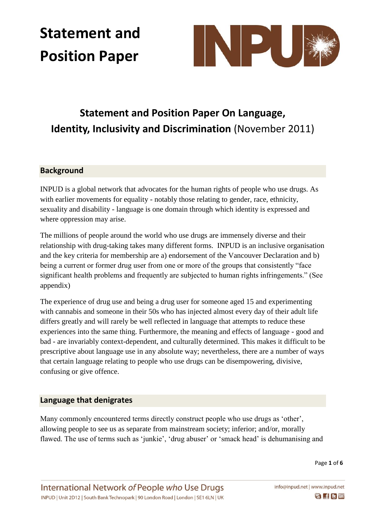

### **Statement and Position Paper On Language, Identity, Inclusivity and Discrimination** (November 2011)

### **Background**

INPUD is a global network that advocates for the human rights of people who use drugs. As with earlier movements for equality - notably those relating to gender, race, ethnicity, sexuality and disability - language is one domain through which identity is expressed and where oppression may arise.

The millions of people around the world who use drugs are immensely diverse and their relationship with drug-taking takes many different forms. INPUD is an inclusive organisation and the key criteria for membership are a) endorsement of the Vancouver Declaration and b) being a current or former drug user from one or more of the groups that consistently "face significant health problems and frequently are subjected to human rights infringements." (See appendix)

The experience of drug use and being a drug user for someone aged 15 and experimenting with cannabis and someone in their 50s who has injected almost every day of their adult life differs greatly and will rarely be well reflected in language that attempts to reduce these experiences into the same thing. Furthermore, the meaning and effects of language - good and bad - are invariably context-dependent, and culturally determined. This makes it difficult to be prescriptive about language use in any absolute way; nevertheless, there are a number of ways that certain language relating to people who use drugs can be disempowering, divisive, confusing or give offence.

#### **Language that denigrates**

Many commonly encountered terms directly construct people who use drugs as 'other', allowing people to see us as separate from mainstream society; inferior; and/or, morally flawed. The use of terms such as 'junkie', 'drug abuser' or 'smack head' is dehumanising and

Page **1** of **6**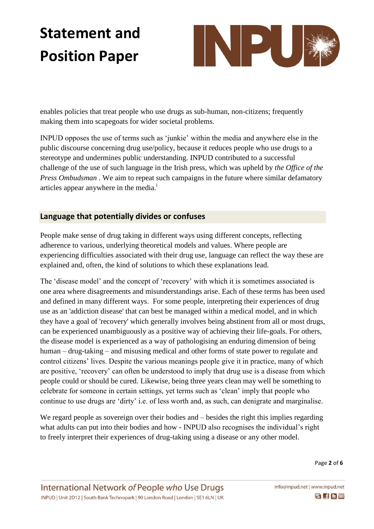

enables policies that treat people who use drugs as sub-human, non-citizens; frequently making them into scapegoats for wider societal problems.

INPUD opposes the use of terms such as 'junkie' within the media and anywhere else in the public discourse concerning drug use/policy, because it reduces people who use drugs to a stereotype and undermines public understanding. INPUD contributed to a successful challenge of the use of such language in the Irish press, which was upheld by *the Office of the Press Ombudsman* . We aim to repeat such campaigns in the future where similar defamatory articles appear anywhere in the media.<sup>i</sup>

### **Language that potentially divides or confuses**

People make sense of drug taking in different ways using different concepts, reflecting adherence to various, underlying theoretical models and values. Where people are experiencing difficulties associated with their drug use, language can reflect the way these are explained and, often, the kind of solutions to which these explanations lead.

The 'disease model' and the concept of 'recovery' with which it is sometimes associated is one area where disagreements and misunderstandings arise. Each of these terms has been used and defined in many different ways. For some people, interpreting their experiences of drug use as an 'addiction disease' that can best be managed within a medical model, and in which they have a goal of 'recovery' which generally involves being abstinent from all or most drugs, can be experienced unambiguously as a positive way of achieving their life-goals. For others, the disease model is experienced as a way of pathologising an enduring dimension of being human – drug-taking – and misusing medical and other forms of state power to regulate and control citizens' lives. Despite the various meanings people give it in practice, many of which are positive, 'recovery' can often be understood to imply that drug use is a disease from which people could or should be cured. Likewise, being three years clean may well be something to celebrate for someone in certain settings, yet terms such as 'clean' imply that people who continue to use drugs are 'dirty' i.e. of less worth and, as such, can denigrate and marginalise.

We regard people as sovereign over their bodies and – besides the right this implies regarding what adults can put into their bodies and how - INPUD also recognises the individual's right to freely interpret their experiences of drug-taking using a disease or any other model.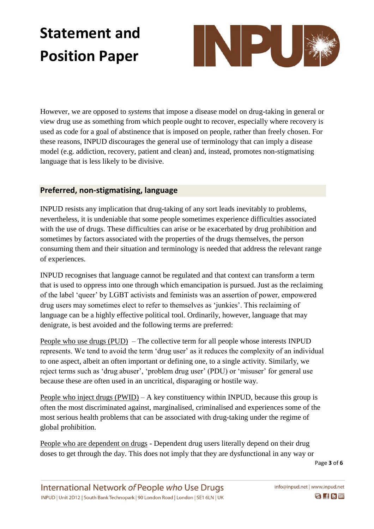

However, we are opposed to *systems* that impose a disease model on drug-taking in general or view drug use as something from which people ought to recover, especially where recovery is used as code for a goal of abstinence that is imposed on people, rather than freely chosen. For these reasons, INPUD discourages the general use of terminology that can imply a disease model (e.g. addiction, recovery, patient and clean) and, instead, promotes non-stigmatising language that is less likely to be divisive.

### **Preferred, non-stigmatising, language**

INPUD resists any implication that drug-taking of any sort leads inevitably to problems, nevertheless, it is undeniable that some people sometimes experience difficulties associated with the use of drugs. These difficulties can arise or be exacerbated by drug prohibition and sometimes by factors associated with the properties of the drugs themselves, the person consuming them and their situation and terminology is needed that address the relevant range of experiences.

INPUD recognises that language cannot be regulated and that context can transform a term that is used to oppress into one through which emancipation is pursued. Just as the reclaiming of the label 'queer' by LGBT activists and feminists was an assertion of power, empowered drug users may sometimes elect to refer to themselves as 'junkies'. This reclaiming of language can be a highly effective political tool. Ordinarily, however, language that may denigrate, is best avoided and the following terms are preferred:

People who use drugs (PUD) – The collective term for all people whose interests INPUD represents. We tend to avoid the term 'drug user' as it reduces the complexity of an individual to one aspect, albeit an often important or defining one, to a single activity. Similarly, we reject terms such as 'drug abuser', 'problem drug user' (PDU) or 'misuser' for general use because these are often used in an uncritical, disparaging or hostile way.

People who inject drugs  $(PWID) - A$  key constituency within INPUD, because this group is often the most discriminated against, marginalised, criminalised and experiences some of the most serious health problems that can be associated with drug-taking under the regime of global prohibition.

People who are dependent on drugs - Dependent drug users literally depend on their drug doses to get through the day. This does not imply that they are dysfunctional in any way or

Page **3** of **6**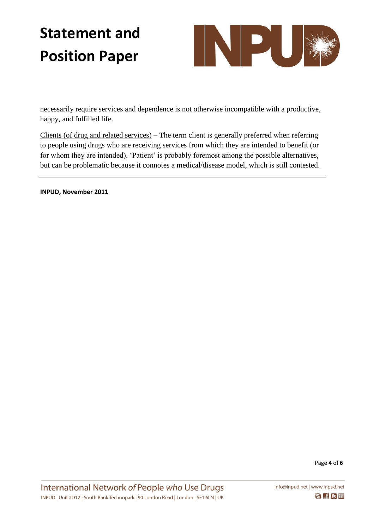

necessarily require services and dependence is not otherwise incompatible with a productive, happy, and fulfilled life.

Clients (of drug and related services) – The term client is generally preferred when referring to people using drugs who are receiving services from which they are intended to benefit (or for whom they are intended). 'Patient' is probably foremost among the possible alternatives, but can be problematic because it connotes a medical/disease model, which is still contested.

**INPUD, November 2011**

Page **4** of **6**

info@inpud.net | www.inpud.net S f C in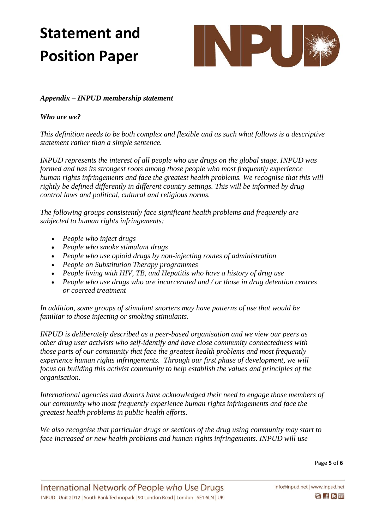

#### *Appendix – INPUD membership statement*

#### *Who are we?*

*This definition needs to be both complex and flexible and as such what follows is a descriptive statement rather than a simple sentence.*

*INPUD represents the interest of all people who use drugs on the global stage. INPUD was formed and has its strongest roots among those people who most frequently experience human rights infringements and face the greatest health problems. We recognise that this will rightly be defined differently in different country settings. This will be informed by drug control laws and political, cultural and religious norms.* 

*The following groups consistently face significant health problems and frequently are subjected to human rights infringements:*

- *People who inject drugs*
- *People who smoke stimulant drugs*
- *People who use opioid drugs by non-injecting routes of administration*
- *People on Substitution Therapy programmes*
- *People living with HIV, TB, and Hepatitis who have a history of drug use*
- *People who use drugs who are incarcerated and / or those in drug detention centres or coerced treatment*

*In addition, some groups of stimulant snorters may have patterns of use that would be familiar to those injecting or smoking stimulants.*

*INPUD is deliberately described as a peer-based organisation and we view our peers as other drug user activists who self-identify and have close community connectedness with those parts of our community that face the greatest health problems and most frequently experience human rights infringements. Through our first phase of development, we will focus on building this activist community to help establish the values and principles of the organisation.*

*International agencies and donors have acknowledged their need to engage those members of our community who most frequently experience human rights infringements and face the greatest health problems in public health efforts.*

*We also recognise that particular drugs or sections of the drug using community may start to face increased or new health problems and human rights infringements. INPUD will use* 

Page **5** of **6**